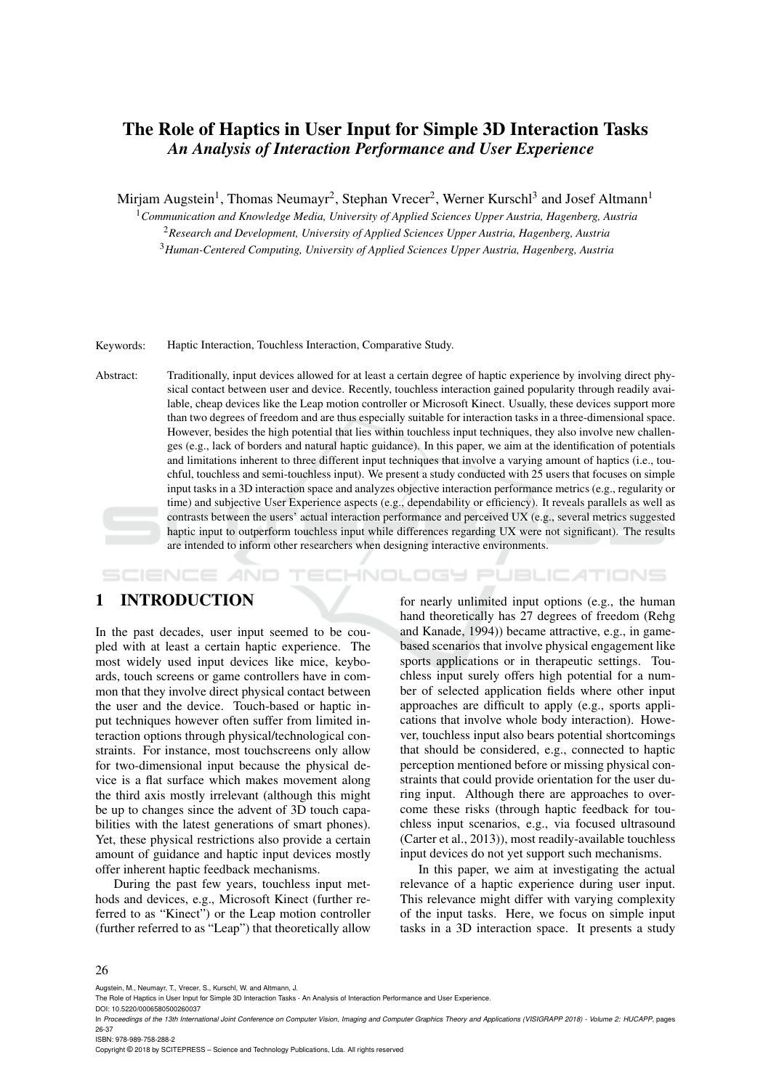# The Role of Haptics in User Input for Simple 3D Interaction Tasks *An Analysis of Interaction Performance and User Experience*

Mirjam Augstein<sup>1</sup>, Thomas Neumayr<sup>2</sup>, Stephan Vrecer<sup>2</sup>, Werner Kurschl<sup>3</sup> and Josef Altmann<sup>1</sup>

<sup>1</sup>*Communication and Knowledge Media, University of Applied Sciences Upper Austria, Hagenberg, Austria* <sup>2</sup>*Research and Development, University of Applied Sciences Upper Austria, Hagenberg, Austria* <sup>3</sup>*Human-Centered Computing, University of Applied Sciences Upper Austria, Hagenberg, Austria*

Keywords: Haptic Interaction, Touchless Interaction, Comparative Study.

Abstract: Traditionally, input devices allowed for at least a certain degree of haptic experience by involving direct physical contact between user and device. Recently, touchless interaction gained popularity through readily available, cheap devices like the Leap motion controller or Microsoft Kinect. Usually, these devices support more than two degrees of freedom and are thus especially suitable for interaction tasks in a three-dimensional space. However, besides the high potential that lies within touchless input techniques, they also involve new challenges (e.g., lack of borders and natural haptic guidance). In this paper, we aim at the identification of potentials and limitations inherent to three different input techniques that involve a varying amount of haptics (i.e., touchful, touchless and semi-touchless input). We present a study conducted with 25 users that focuses on simple input tasks in a 3D interaction space and analyzes objective interaction performance metrics (e.g., regularity or time) and subjective User Experience aspects (e.g., dependability or efficiency). It reveals parallels as well as contrasts between the users' actual interaction performance and perceived UX (e.g., several metrics suggested haptic input to outperform touchless input while differences regarding UX were not significant). The results are intended to inform other researchers when designing interactive environments.

HNOLOGY PUBLICATIONS SCIENCE *A*ND

# 1 INTRODUCTION

In the past decades, user input seemed to be coupled with at least a certain haptic experience. The most widely used input devices like mice, keyboards, touch screens or game controllers have in common that they involve direct physical contact between the user and the device. Touch-based or haptic input techniques however often suffer from limited interaction options through physical/technological constraints. For instance, most touchscreens only allow for two-dimensional input because the physical device is a flat surface which makes movement along the third axis mostly irrelevant (although this might be up to changes since the advent of 3D touch capabilities with the latest generations of smart phones). Yet, these physical restrictions also provide a certain amount of guidance and haptic input devices mostly offer inherent haptic feedback mechanisms.

During the past few years, touchless input methods and devices, e.g., Microsoft Kinect (further referred to as "Kinect") or the Leap motion controller (further referred to as "Leap") that theoretically allow

for nearly unlimited input options (e.g., the human hand theoretically has 27 degrees of freedom (Rehg and Kanade, 1994)) became attractive, e.g., in gamebased scenarios that involve physical engagement like sports applications or in therapeutic settings. Touchless input surely offers high potential for a number of selected application fields where other input approaches are difficult to apply (e.g., sports applications that involve whole body interaction). However, touchless input also bears potential shortcomings that should be considered, e.g., connected to haptic perception mentioned before or missing physical constraints that could provide orientation for the user during input. Although there are approaches to overcome these risks (through haptic feedback for touchless input scenarios, e.g., via focused ultrasound (Carter et al., 2013)), most readily-available touchless input devices do not yet support such mechanisms.

In this paper, we aim at investigating the actual relevance of a haptic experience during user input. This relevance might differ with varying complexity of the input tasks. Here, we focus on simple input tasks in a 3D interaction space. It presents a study

#### 26

Augstein, M., Neumayr, T., Vrecer, S., Kurschl, W. and Altmann, J.

DOI: 10.5220/0006580500260037

ISBN: 978-989-758-288-2

Copyright © 2018 by SCITEPRESS – Science and Technology Publications, Lda. All rights reserved

The Role of Haptics in User Input for Simple 3D Interaction Tasks - An Analysis of Interaction Performance and User Experience.

In *Proceedings of the 13th International Joint Conference on Computer Vision, Imaging and Computer Graphics Theory and Applications (VISIGRAPP 2018) - Volume 2: HUCAPP*, pages 26-37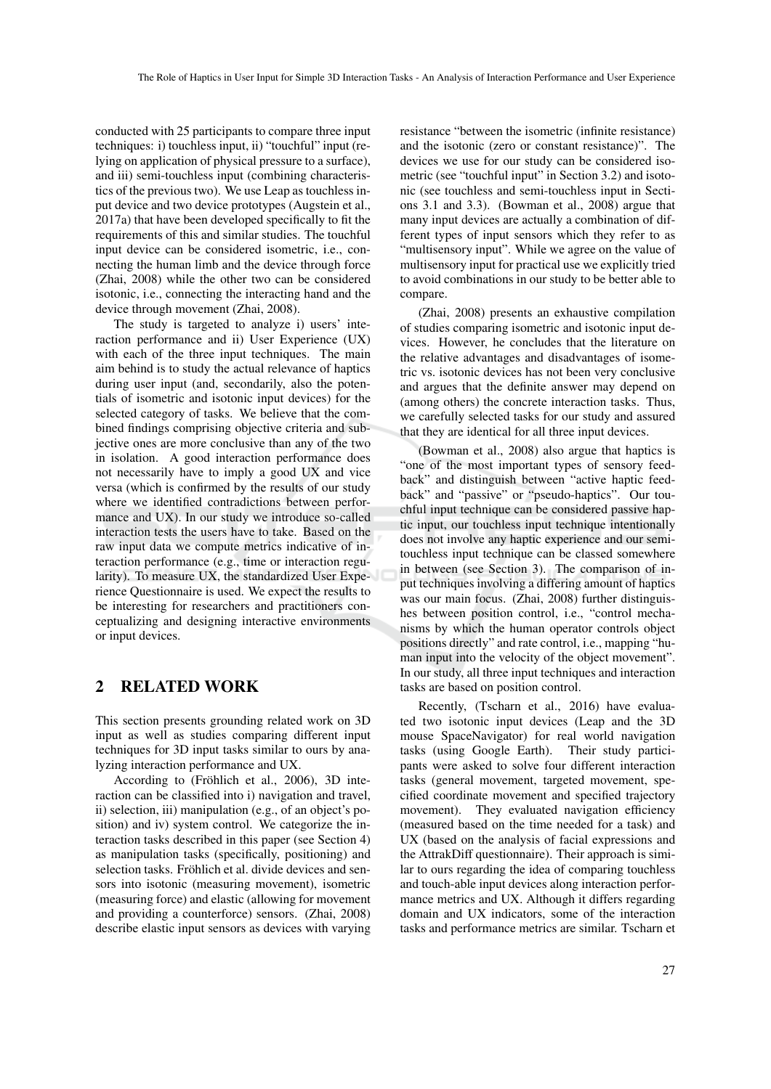conducted with 25 participants to compare three input techniques: i) touchless input, ii) "touchful" input (relying on application of physical pressure to a surface), and iii) semi-touchless input (combining characteristics of the previous two). We use Leap as touchless input device and two device prototypes (Augstein et al., 2017a) that have been developed specifically to fit the requirements of this and similar studies. The touchful input device can be considered isometric, i.e., connecting the human limb and the device through force (Zhai, 2008) while the other two can be considered isotonic, i.e., connecting the interacting hand and the device through movement (Zhai, 2008).

The study is targeted to analyze i) users' interaction performance and ii) User Experience (UX) with each of the three input techniques. The main aim behind is to study the actual relevance of haptics during user input (and, secondarily, also the potentials of isometric and isotonic input devices) for the selected category of tasks. We believe that the combined findings comprising objective criteria and subjective ones are more conclusive than any of the two in isolation. A good interaction performance does not necessarily have to imply a good UX and vice versa (which is confirmed by the results of our study where we identified contradictions between performance and UX). In our study we introduce so-called interaction tests the users have to take. Based on the raw input data we compute metrics indicative of interaction performance (e.g., time or interaction regularity). To measure UX, the standardized User Experience Questionnaire is used. We expect the results to be interesting for researchers and practitioners conceptualizing and designing interactive environments or input devices.

# 2 RELATED WORK

This section presents grounding related work on 3D input as well as studies comparing different input techniques for 3D input tasks similar to ours by analyzing interaction performance and UX.

According to (Fröhlich et al., 2006), 3D interaction can be classified into i) navigation and travel, ii) selection, iii) manipulation (e.g., of an object's position) and iv) system control. We categorize the interaction tasks described in this paper (see Section 4) as manipulation tasks (specifically, positioning) and selection tasks. Fröhlich et al. divide devices and sensors into isotonic (measuring movement), isometric (measuring force) and elastic (allowing for movement and providing a counterforce) sensors. (Zhai, 2008) describe elastic input sensors as devices with varying resistance "between the isometric (infinite resistance) and the isotonic (zero or constant resistance)". The devices we use for our study can be considered isometric (see "touchful input" in Section 3.2) and isotonic (see touchless and semi-touchless input in Sections 3.1 and 3.3). (Bowman et al., 2008) argue that many input devices are actually a combination of different types of input sensors which they refer to as "multisensory input". While we agree on the value of multisensory input for practical use we explicitly tried to avoid combinations in our study to be better able to compare.

(Zhai, 2008) presents an exhaustive compilation of studies comparing isometric and isotonic input devices. However, he concludes that the literature on the relative advantages and disadvantages of isometric vs. isotonic devices has not been very conclusive and argues that the definite answer may depend on (among others) the concrete interaction tasks. Thus, we carefully selected tasks for our study and assured that they are identical for all three input devices.

(Bowman et al., 2008) also argue that haptics is "one of the most important types of sensory feedback" and distinguish between "active haptic feedback" and "passive" or "pseudo-haptics". Our touchful input technique can be considered passive haptic input, our touchless input technique intentionally does not involve any haptic experience and our semitouchless input technique can be classed somewhere in between (see Section 3). The comparison of input techniques involving a differing amount of haptics was our main focus. (Zhai, 2008) further distinguishes between position control, i.e., "control mechanisms by which the human operator controls object positions directly" and rate control, i.e., mapping "human input into the velocity of the object movement". In our study, all three input techniques and interaction tasks are based on position control.

Recently, (Tscharn et al., 2016) have evaluated two isotonic input devices (Leap and the 3D mouse SpaceNavigator) for real world navigation tasks (using Google Earth). Their study participants were asked to solve four different interaction tasks (general movement, targeted movement, specified coordinate movement and specified trajectory movement). They evaluated navigation efficiency (measured based on the time needed for a task) and UX (based on the analysis of facial expressions and the AttrakDiff questionnaire). Their approach is similar to ours regarding the idea of comparing touchless and touch-able input devices along interaction performance metrics and UX. Although it differs regarding domain and UX indicators, some of the interaction tasks and performance metrics are similar. Tscharn et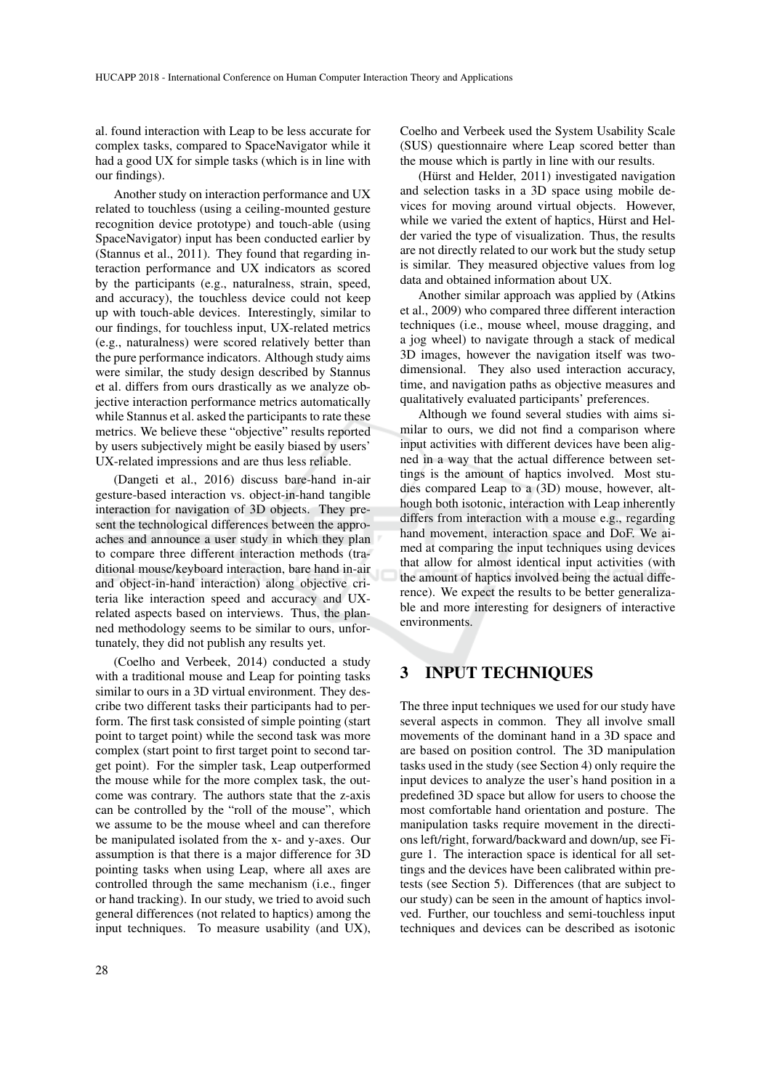al. found interaction with Leap to be less accurate for complex tasks, compared to SpaceNavigator while it had a good UX for simple tasks (which is in line with our findings).

Another study on interaction performance and UX related to touchless (using a ceiling-mounted gesture recognition device prototype) and touch-able (using SpaceNavigator) input has been conducted earlier by (Stannus et al., 2011). They found that regarding interaction performance and UX indicators as scored by the participants (e.g., naturalness, strain, speed, and accuracy), the touchless device could not keep up with touch-able devices. Interestingly, similar to our findings, for touchless input, UX-related metrics (e.g., naturalness) were scored relatively better than the pure performance indicators. Although study aims were similar, the study design described by Stannus et al. differs from ours drastically as we analyze objective interaction performance metrics automatically while Stannus et al. asked the participants to rate these metrics. We believe these "objective" results reported by users subjectively might be easily biased by users' UX-related impressions and are thus less reliable.

(Dangeti et al., 2016) discuss bare-hand in-air gesture-based interaction vs. object-in-hand tangible interaction for navigation of 3D objects. They present the technological differences between the approaches and announce a user study in which they plan to compare three different interaction methods (traditional mouse/keyboard interaction, bare hand in-air and object-in-hand interaction) along objective criteria like interaction speed and accuracy and UXrelated aspects based on interviews. Thus, the planned methodology seems to be similar to ours, unfortunately, they did not publish any results yet.

(Coelho and Verbeek, 2014) conducted a study with a traditional mouse and Leap for pointing tasks similar to ours in a 3D virtual environment. They describe two different tasks their participants had to perform. The first task consisted of simple pointing (start point to target point) while the second task was more complex (start point to first target point to second target point). For the simpler task, Leap outperformed the mouse while for the more complex task, the outcome was contrary. The authors state that the z-axis can be controlled by the "roll of the mouse", which we assume to be the mouse wheel and can therefore be manipulated isolated from the x- and y-axes. Our assumption is that there is a major difference for 3D pointing tasks when using Leap, where all axes are controlled through the same mechanism (i.e., finger or hand tracking). In our study, we tried to avoid such general differences (not related to haptics) among the input techniques. To measure usability (and UX), Coelho and Verbeek used the System Usability Scale (SUS) questionnaire where Leap scored better than the mouse which is partly in line with our results.

(Hürst and Helder, 2011) investigated navigation and selection tasks in a 3D space using mobile devices for moving around virtual objects. However, while we varied the extent of haptics, Hürst and Helder varied the type of visualization. Thus, the results are not directly related to our work but the study setup is similar. They measured objective values from log data and obtained information about UX.

Another similar approach was applied by (Atkins et al., 2009) who compared three different interaction techniques (i.e., mouse wheel, mouse dragging, and a jog wheel) to navigate through a stack of medical 3D images, however the navigation itself was twodimensional. They also used interaction accuracy, time, and navigation paths as objective measures and qualitatively evaluated participants' preferences.

Although we found several studies with aims similar to ours, we did not find a comparison where input activities with different devices have been aligned in a way that the actual difference between settings is the amount of haptics involved. Most studies compared Leap to a (3D) mouse, however, although both isotonic, interaction with Leap inherently differs from interaction with a mouse e.g., regarding hand movement, interaction space and DoF. We aimed at comparing the input techniques using devices that allow for almost identical input activities (with the amount of haptics involved being the actual difference). We expect the results to be better generalizable and more interesting for designers of interactive environments.

# 3 INPUT TECHNIQUES

The three input techniques we used for our study have several aspects in common. They all involve small movements of the dominant hand in a 3D space and are based on position control. The 3D manipulation tasks used in the study (see Section 4) only require the input devices to analyze the user's hand position in a predefined 3D space but allow for users to choose the most comfortable hand orientation and posture. The manipulation tasks require movement in the directions left/right, forward/backward and down/up, see Figure 1. The interaction space is identical for all settings and the devices have been calibrated within pretests (see Section 5). Differences (that are subject to our study) can be seen in the amount of haptics involved. Further, our touchless and semi-touchless input techniques and devices can be described as isotonic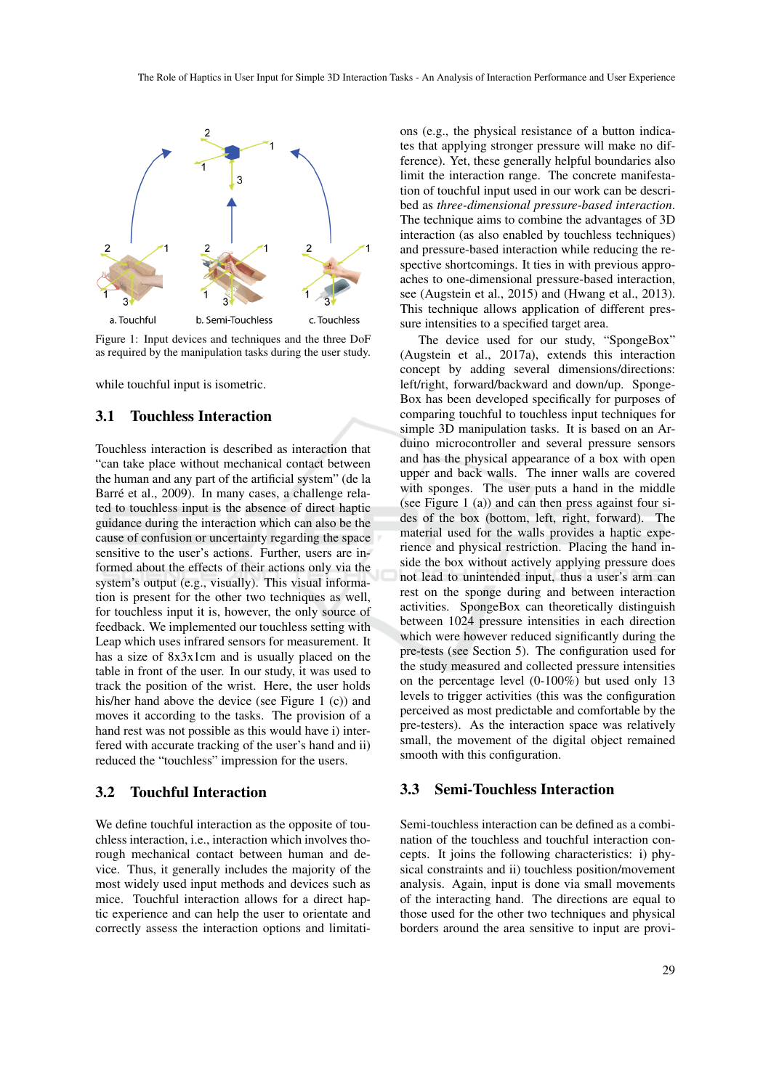

Figure 1: Input devices and techniques and the three DoF as required by the manipulation tasks during the user study.

while touchful input is isometric.

## 3.1 Touchless Interaction

Touchless interaction is described as interaction that "can take place without mechanical contact between the human and any part of the artificial system" (de la Barré et al., 2009). In many cases, a challenge related to touchless input is the absence of direct haptic guidance during the interaction which can also be the cause of confusion or uncertainty regarding the space sensitive to the user's actions. Further, users are informed about the effects of their actions only via the system's output (e.g., visually). This visual information is present for the other two techniques as well, for touchless input it is, however, the only source of feedback. We implemented our touchless setting with Leap which uses infrared sensors for measurement. It has a size of 8x3x1cm and is usually placed on the table in front of the user. In our study, it was used to track the position of the wrist. Here, the user holds his/her hand above the device (see Figure 1 (c)) and moves it according to the tasks. The provision of a hand rest was not possible as this would have i) interfered with accurate tracking of the user's hand and ii) reduced the "touchless" impression for the users.

### 3.2 Touchful Interaction

We define touchful interaction as the opposite of touchless interaction, i.e., interaction which involves thorough mechanical contact between human and device. Thus, it generally includes the majority of the most widely used input methods and devices such as mice. Touchful interaction allows for a direct haptic experience and can help the user to orientate and correctly assess the interaction options and limitations (e.g., the physical resistance of a button indicates that applying stronger pressure will make no difference). Yet, these generally helpful boundaries also limit the interaction range. The concrete manifestation of touchful input used in our work can be described as *three-dimensional pressure-based interaction*. The technique aims to combine the advantages of 3D interaction (as also enabled by touchless techniques) and pressure-based interaction while reducing the respective shortcomings. It ties in with previous approaches to one-dimensional pressure-based interaction, see (Augstein et al., 2015) and (Hwang et al., 2013). This technique allows application of different pressure intensities to a specified target area.

The device used for our study, "SpongeBox" (Augstein et al., 2017a), extends this interaction concept by adding several dimensions/directions: left/right, forward/backward and down/up. Sponge-Box has been developed specifically for purposes of comparing touchful to touchless input techniques for simple 3D manipulation tasks. It is based on an Arduino microcontroller and several pressure sensors and has the physical appearance of a box with open upper and back walls. The inner walls are covered with sponges. The user puts a hand in the middle (see Figure 1 (a)) and can then press against four sides of the box (bottom, left, right, forward). The material used for the walls provides a haptic experience and physical restriction. Placing the hand inside the box without actively applying pressure does not lead to unintended input, thus a user's arm can rest on the sponge during and between interaction activities. SpongeBox can theoretically distinguish between 1024 pressure intensities in each direction which were however reduced significantly during the pre-tests (see Section 5). The configuration used for the study measured and collected pressure intensities on the percentage level (0-100%) but used only 13 levels to trigger activities (this was the configuration perceived as most predictable and comfortable by the pre-testers). As the interaction space was relatively small, the movement of the digital object remained smooth with this configuration.

## 3.3 Semi-Touchless Interaction

Semi-touchless interaction can be defined as a combination of the touchless and touchful interaction concepts. It joins the following characteristics: i) physical constraints and ii) touchless position/movement analysis. Again, input is done via small movements of the interacting hand. The directions are equal to those used for the other two techniques and physical borders around the area sensitive to input are provi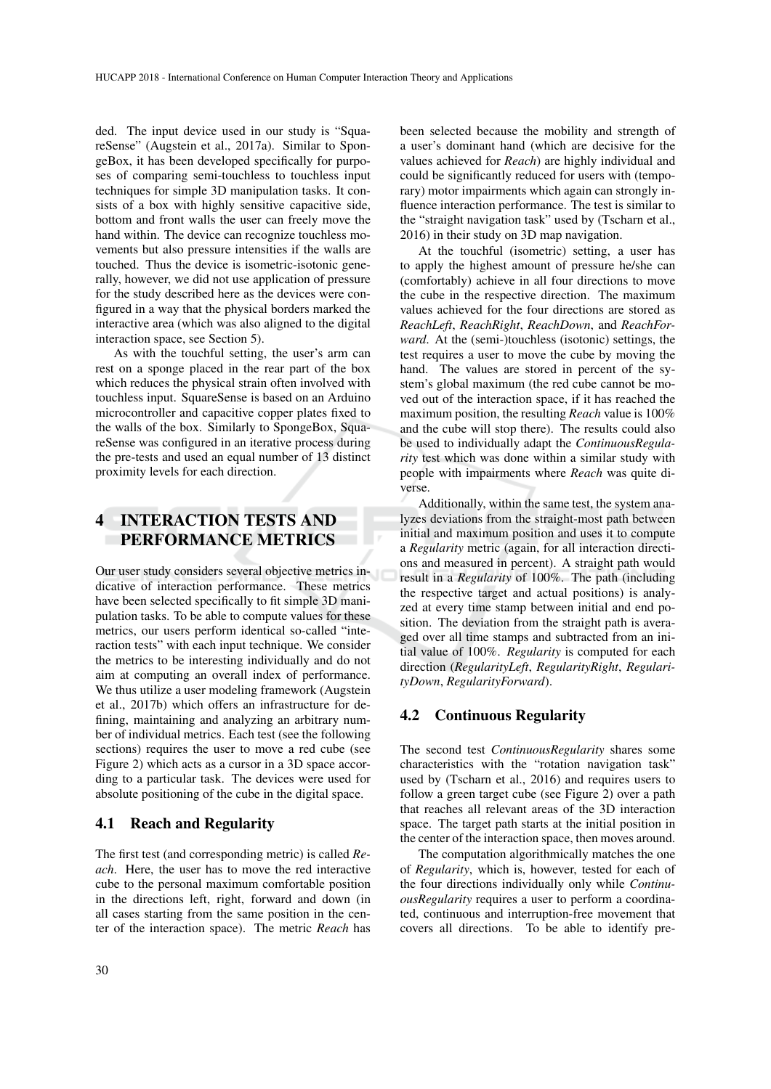ded. The input device used in our study is "SquareSense" (Augstein et al., 2017a). Similar to SpongeBox, it has been developed specifically for purposes of comparing semi-touchless to touchless input techniques for simple 3D manipulation tasks. It consists of a box with highly sensitive capacitive side, bottom and front walls the user can freely move the hand within. The device can recognize touchless movements but also pressure intensities if the walls are touched. Thus the device is isometric-isotonic generally, however, we did not use application of pressure for the study described here as the devices were configured in a way that the physical borders marked the interactive area (which was also aligned to the digital interaction space, see Section 5).

As with the touchful setting, the user's arm can rest on a sponge placed in the rear part of the box which reduces the physical strain often involved with touchless input. SquareSense is based on an Arduino microcontroller and capacitive copper plates fixed to the walls of the box. Similarly to SpongeBox, SquareSense was configured in an iterative process during the pre-tests and used an equal number of 13 distinct proximity levels for each direction.

# 4 INTERACTION TESTS AND PERFORMANCE METRICS

Our user study considers several objective metrics indicative of interaction performance. These metrics have been selected specifically to fit simple 3D manipulation tasks. To be able to compute values for these metrics, our users perform identical so-called "interaction tests" with each input technique. We consider the metrics to be interesting individually and do not aim at computing an overall index of performance. We thus utilize a user modeling framework (Augstein et al., 2017b) which offers an infrastructure for defining, maintaining and analyzing an arbitrary number of individual metrics. Each test (see the following sections) requires the user to move a red cube (see Figure 2) which acts as a cursor in a 3D space according to a particular task. The devices were used for absolute positioning of the cube in the digital space.

## 4.1 Reach and Regularity

The first test (and corresponding metric) is called *Reach*. Here, the user has to move the red interactive cube to the personal maximum comfortable position in the directions left, right, forward and down (in all cases starting from the same position in the center of the interaction space). The metric *Reach* has

been selected because the mobility and strength of a user's dominant hand (which are decisive for the values achieved for *Reach*) are highly individual and could be significantly reduced for users with (temporary) motor impairments which again can strongly influence interaction performance. The test is similar to the "straight navigation task" used by (Tscharn et al., 2016) in their study on 3D map navigation.

At the touchful (isometric) setting, a user has to apply the highest amount of pressure he/she can (comfortably) achieve in all four directions to move the cube in the respective direction. The maximum values achieved for the four directions are stored as *ReachLeft*, *ReachRight*, *ReachDown*, and *ReachForward*. At the (semi-)touchless (isotonic) settings, the test requires a user to move the cube by moving the hand. The values are stored in percent of the system's global maximum (the red cube cannot be moved out of the interaction space, if it has reached the maximum position, the resulting *Reach* value is 100% and the cube will stop there). The results could also be used to individually adapt the *ContinuousRegularity* test which was done within a similar study with people with impairments where *Reach* was quite diverse.

Additionally, within the same test, the system analyzes deviations from the straight-most path between initial and maximum position and uses it to compute a *Regularity* metric (again, for all interaction directions and measured in percent). A straight path would result in a *Regularity* of 100%. The path (including the respective target and actual positions) is analyzed at every time stamp between initial and end position. The deviation from the straight path is averaged over all time stamps and subtracted from an initial value of 100%. *Regularity* is computed for each direction (*RegularityLeft*, *RegularityRight*, *RegularityDown*, *RegularityForward*).

# 4.2 Continuous Regularity

The second test *ContinuousRegularity* shares some characteristics with the "rotation navigation task" used by (Tscharn et al., 2016) and requires users to follow a green target cube (see Figure 2) over a path that reaches all relevant areas of the 3D interaction space. The target path starts at the initial position in the center of the interaction space, then moves around.

The computation algorithmically matches the one of *Regularity*, which is, however, tested for each of the four directions individually only while *ContinuousRegularity* requires a user to perform a coordinated, continuous and interruption-free movement that covers all directions. To be able to identify pre-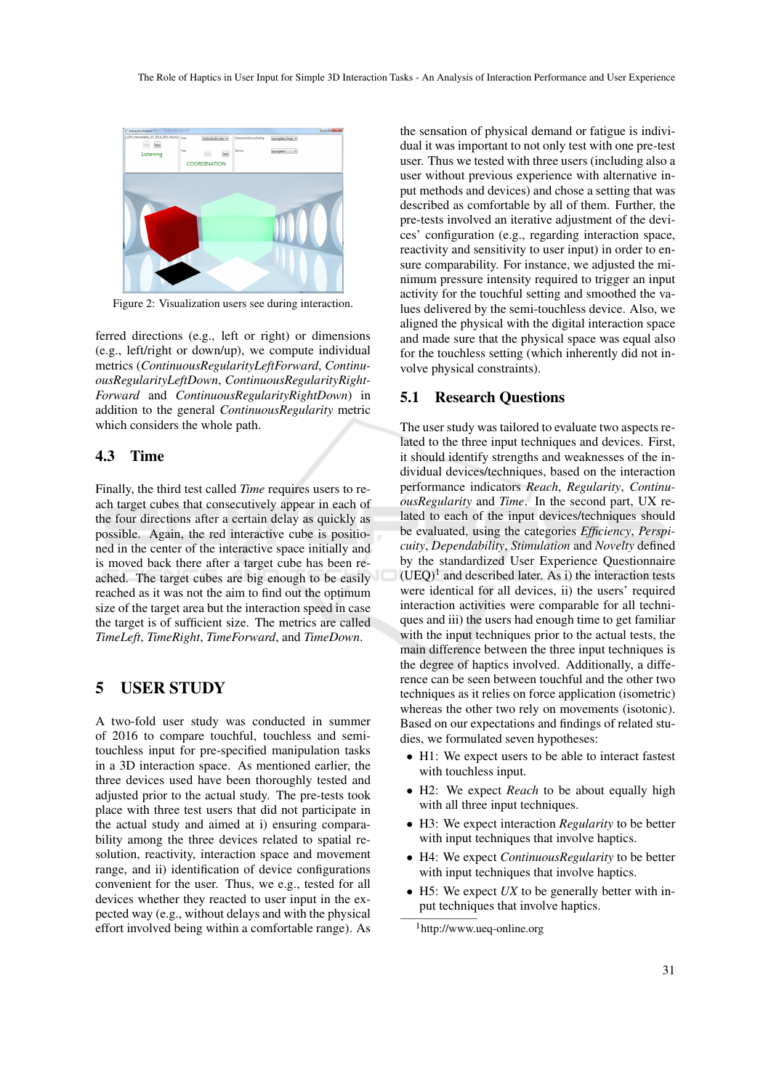

Figure 2: Visualization users see during interaction.

ferred directions (e.g., left or right) or dimensions (e.g., left/right or down/up), we compute individual metrics (*ContinuousRegularityLeftForward*, *ContinuousRegularityLeftDown*, *ContinuousRegularityRight-Forward* and *ContinuousRegularityRightDown*) in addition to the general *ContinuousRegularity* metric which considers the whole path.

## 4.3 Time

Finally, the third test called *Time* requires users to reach target cubes that consecutively appear in each of the four directions after a certain delay as quickly as possible. Again, the red interactive cube is positioned in the center of the interactive space initially and is moved back there after a target cube has been reached. The target cubes are big enough to be easily reached as it was not the aim to find out the optimum size of the target area but the interaction speed in case the target is of sufficient size. The metrics are called *TimeLeft*, *TimeRight*, *TimeForward*, and *TimeDown*.

# 5 USER STUDY

A two-fold user study was conducted in summer of 2016 to compare touchful, touchless and semitouchless input for pre-specified manipulation tasks in a 3D interaction space. As mentioned earlier, the three devices used have been thoroughly tested and adjusted prior to the actual study. The pre-tests took place with three test users that did not participate in the actual study and aimed at i) ensuring comparability among the three devices related to spatial resolution, reactivity, interaction space and movement range, and ii) identification of device configurations convenient for the user. Thus, we e.g., tested for all devices whether they reacted to user input in the expected way (e.g., without delays and with the physical effort involved being within a comfortable range). As

the sensation of physical demand or fatigue is individual it was important to not only test with one pre-test user. Thus we tested with three users (including also a user without previous experience with alternative input methods and devices) and chose a setting that was described as comfortable by all of them. Further, the pre-tests involved an iterative adjustment of the devices' configuration (e.g., regarding interaction space, reactivity and sensitivity to user input) in order to ensure comparability. For instance, we adjusted the minimum pressure intensity required to trigger an input activity for the touchful setting and smoothed the values delivered by the semi-touchless device. Also, we aligned the physical with the digital interaction space and made sure that the physical space was equal also for the touchless setting (which inherently did not involve physical constraints).

## 5.1 Research Questions

The user study was tailored to evaluate two aspects related to the three input techniques and devices. First, it should identify strengths and weaknesses of the individual devices/techniques, based on the interaction performance indicators *Reach*, *Regularity*, *ContinuousRegularity* and *Time*. In the second part, UX related to each of the input devices/techniques should be evaluated, using the categories *Efficiency*, *Perspicuity*, *Dependability*, *Stimulation* and *Novelty* defined by the standardized User Experience Questionnaire  $(UEQ)^{1}$  and described later. As i) the interaction tests were identical for all devices, ii) the users' required interaction activities were comparable for all techniques and iii) the users had enough time to get familiar with the input techniques prior to the actual tests, the main difference between the three input techniques is the degree of haptics involved. Additionally, a difference can be seen between touchful and the other two techniques as it relies on force application (isometric) whereas the other two rely on movements (isotonic). Based on our expectations and findings of related studies, we formulated seven hypotheses:

- H1: We expect users to be able to interact fastest with touchless input.
- H2: We expect *Reach* to be about equally high with all three input techniques.
- H3: We expect interaction *Regularity* to be better with input techniques that involve haptics.
- H4: We expect *ContinuousRegularity* to be better with input techniques that involve haptics.
- H5: We expect *UX* to be generally better with input techniques that involve haptics.

<sup>1</sup>http://www.ueq-online.org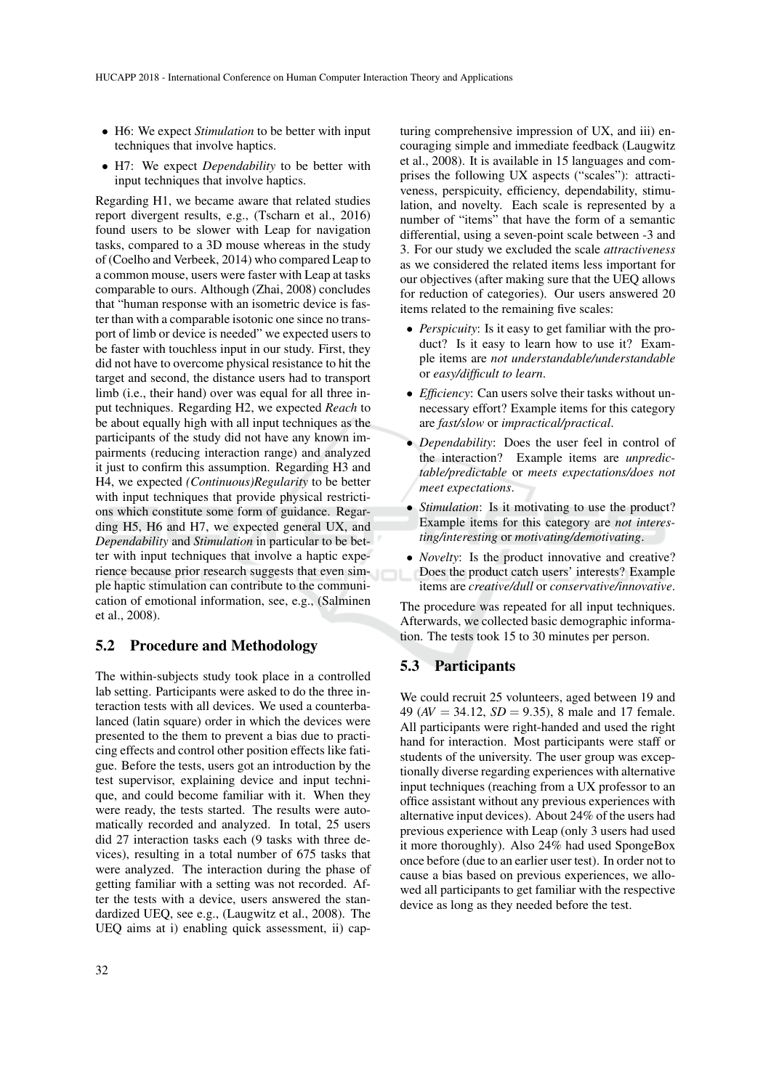- H6: We expect *Stimulation* to be better with input techniques that involve haptics.
- H7: We expect *Dependability* to be better with input techniques that involve haptics.

Regarding H1, we became aware that related studies report divergent results, e.g., (Tscharn et al., 2016) found users to be slower with Leap for navigation tasks, compared to a 3D mouse whereas in the study of (Coelho and Verbeek, 2014) who compared Leap to a common mouse, users were faster with Leap at tasks comparable to ours. Although (Zhai, 2008) concludes that "human response with an isometric device is faster than with a comparable isotonic one since no transport of limb or device is needed" we expected users to be faster with touchless input in our study. First, they did not have to overcome physical resistance to hit the target and second, the distance users had to transport limb (i.e., their hand) over was equal for all three input techniques. Regarding H2, we expected *Reach* to be about equally high with all input techniques as the participants of the study did not have any known impairments (reducing interaction range) and analyzed it just to confirm this assumption. Regarding H3 and H4, we expected *(Continuous)Regularity* to be better with input techniques that provide physical restrictions which constitute some form of guidance. Regarding H5, H6 and H7, we expected general UX, and *Dependability* and *Stimulation* in particular to be better with input techniques that involve a haptic experience because prior research suggests that even simple haptic stimulation can contribute to the communication of emotional information, see, e.g., (Salminen et al., 2008).

# 5.2 Procedure and Methodology

The within-subjects study took place in a controlled lab setting. Participants were asked to do the three interaction tests with all devices. We used a counterbalanced (latin square) order in which the devices were presented to the them to prevent a bias due to practicing effects and control other position effects like fatigue. Before the tests, users got an introduction by the test supervisor, explaining device and input technique, and could become familiar with it. When they were ready, the tests started. The results were automatically recorded and analyzed. In total, 25 users did 27 interaction tasks each (9 tasks with three devices), resulting in a total number of 675 tasks that were analyzed. The interaction during the phase of getting familiar with a setting was not recorded. After the tests with a device, users answered the standardized UEQ, see e.g., (Laugwitz et al., 2008). The UEQ aims at i) enabling quick assessment, ii) cap-

turing comprehensive impression of UX, and iii) encouraging simple and immediate feedback (Laugwitz et al., 2008). It is available in 15 languages and comprises the following UX aspects ("scales"): attractiveness, perspicuity, efficiency, dependability, stimulation, and novelty. Each scale is represented by a number of "items" that have the form of a semantic differential, using a seven-point scale between -3 and 3. For our study we excluded the scale *attractiveness* as we considered the related items less important for our objectives (after making sure that the UEQ allows for reduction of categories). Our users answered 20 items related to the remaining five scales:

- *Perspicuity*: Is it easy to get familiar with the product? Is it easy to learn how to use it? Example items are *not understandable/understandable* or *easy/difficult to learn*.
- *Efficiency*: Can users solve their tasks without unnecessary effort? Example items for this category are *fast/slow* or *impractical/practical*.
- *Dependability*: Does the user feel in control of the interaction? Example items are *unpredictable/predictable* or *meets expectations/does not meet expectations*.
- *Stimulation*: Is it motivating to use the product? Example items for this category are *not interesting/interesting* or *motivating/demotivating*.
- *Novelty*: Is the product innovative and creative? Does the product catch users' interests? Example items are *creative/dull* or *conservative/innovative*.

The procedure was repeated for all input techniques. Afterwards, we collected basic demographic information. The tests took 15 to 30 minutes per person.

# 5.3 Participants

We could recruit 25 volunteers, aged between 19 and 49 (*AV* = 34.12, *SD* = 9.35), 8 male and 17 female. All participants were right-handed and used the right hand for interaction. Most participants were staff or students of the university. The user group was exceptionally diverse regarding experiences with alternative input techniques (reaching from a UX professor to an office assistant without any previous experiences with alternative input devices). About 24% of the users had previous experience with Leap (only 3 users had used it more thoroughly). Also 24% had used SpongeBox once before (due to an earlier user test). In order not to cause a bias based on previous experiences, we allowed all participants to get familiar with the respective device as long as they needed before the test.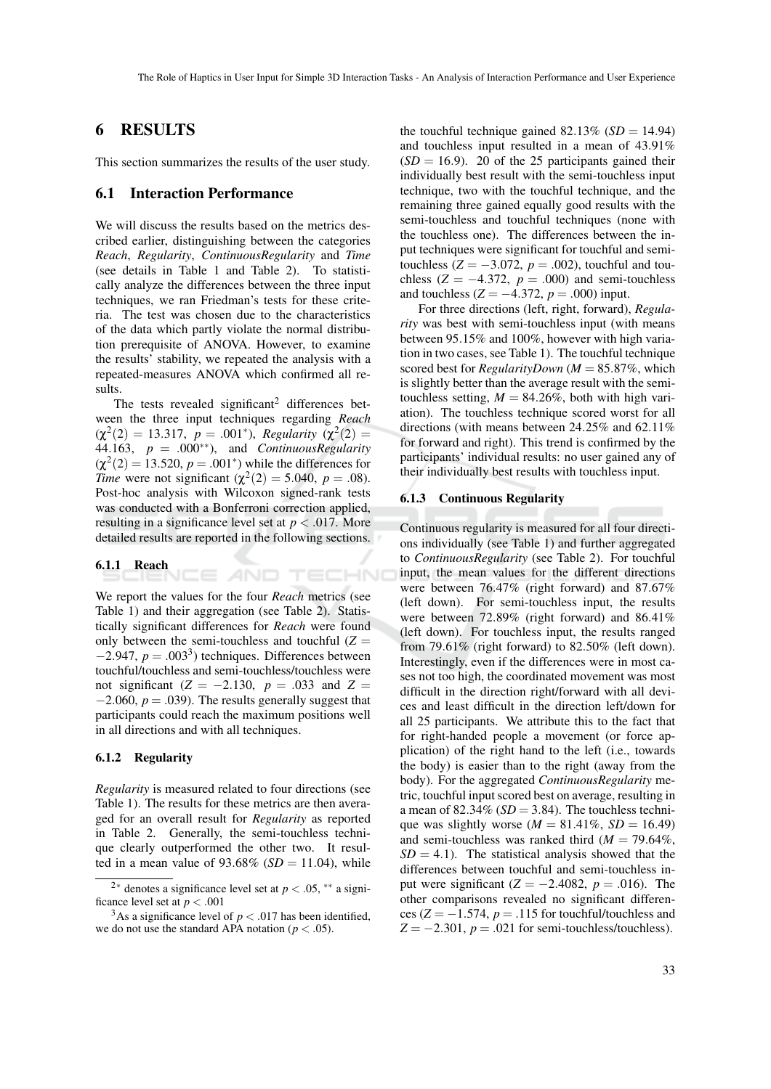# 6 RESULTS

This section summarizes the results of the user study.

### 6.1 Interaction Performance

We will discuss the results based on the metrics described earlier, distinguishing between the categories *Reach*, *Regularity*, *ContinuousRegularity* and *Time* (see details in Table 1 and Table 2). To statistically analyze the differences between the three input techniques, we ran Friedman's tests for these criteria. The test was chosen due to the characteristics of the data which partly violate the normal distribution prerequisite of ANOVA. However, to examine the results' stability, we repeated the analysis with a repeated-measures ANOVA which confirmed all results.

The tests revealed significant<sup>2</sup> differences between the three input techniques regarding *Reach*  $(\chi^2(2) = 13.317, p = .001^*)$ , *Regularity*  $(\chi^2(2) =$ 44.163, *p* = .000∗∗), and *ContinuousRegularity*  $(\chi^2(2) = 13.520, p = .001^*)$  while the differences for *Time* were not significant ( $\chi^2(2) = 5.040$ ,  $p = .08$ ). Post-hoc analysis with Wilcoxon signed-rank tests was conducted with a Bonferroni correction applied, resulting in a significance level set at *p* < .017. More detailed results are reported in the following sections.

#### 6.1.1 Reach

We report the values for the four *Reach* metrics (see Table 1) and their aggregation (see Table 2). Statistically significant differences for *Reach* were found only between the semi-touchless and touchful  $(Z =$  $-2.947$ ,  $p = .003<sup>3</sup>$ ) techniques. Differences between touchful/touchless and semi-touchless/touchless were not significant  $(Z = -2.130, p = .033$  and  $Z =$  $-2.060$ ,  $p = .039$ ). The results generally suggest that participants could reach the maximum positions well in all directions and with all techniques.

CE AND TECHNO

## 6.1.2 Regularity

*Regularity* is measured related to four directions (see Table 1). The results for these metrics are then averaged for an overall result for *Regularity* as reported in Table 2. Generally, the semi-touchless technique clearly outperformed the other two. It resulted in a mean value of 93.68% ( $SD = 11.04$ ), while

the touchful technique gained  $82.13\%$  (*SD* = 14.94) and touchless input resulted in a mean of 43.91%  $(SD = 16.9)$ . 20 of the 25 participants gained their individually best result with the semi-touchless input technique, two with the touchful technique, and the remaining three gained equally good results with the semi-touchless and touchful techniques (none with the touchless one). The differences between the input techniques were significant for touchful and semitouchless  $(Z = -3.072, p = .002)$ , touchful and touchless  $(Z = -4.372, p = .000)$  and semi-touchless and touchless  $(Z = -4.372, p = .000)$  input.

For three directions (left, right, forward), *Regularity* was best with semi-touchless input (with means between 95.15% and 100%, however with high variation in two cases, see Table 1). The touchful technique scored best for *RegularityDown* (*M* = 85.87%, which is slightly better than the average result with the semitouchless setting,  $M = 84.26\%$ , both with high variation). The touchless technique scored worst for all directions (with means between 24.25% and 62.11% for forward and right). This trend is confirmed by the participants' individual results: no user gained any of their individually best results with touchless input.

#### 6.1.3 Continuous Regularity

Continuous regularity is measured for all four directions individually (see Table 1) and further aggregated to *ContinuousRegularity* (see Table 2). For touchful input, the mean values for the different directions were between 76.47% (right forward) and 87.67% (left down). For semi-touchless input, the results were between 72.89% (right forward) and 86.41% (left down). For touchless input, the results ranged from  $79.61\%$  (right forward) to  $82.50\%$  (left down). Interestingly, even if the differences were in most cases not too high, the coordinated movement was most difficult in the direction right/forward with all devices and least difficult in the direction left/down for all 25 participants. We attribute this to the fact that for right-handed people a movement (or force application) of the right hand to the left (i.e., towards the body) is easier than to the right (away from the body). For the aggregated *ContinuousRegularity* metric, touchful input scored best on average, resulting in a mean of  $82.34\%$  (*SD* = 3.84). The touchless technique was slightly worse ( $M = 81.41\%$ ,  $SD = 16.49$ ) and semi-touchless was ranked third  $(M = 79.64\%$ ,  $SD = 4.1$ ). The statistical analysis showed that the differences between touchful and semi-touchless input were significant  $(Z = -2.4082, p = .016)$ . The other comparisons revealed no significant differences  $(Z = -1.574, p = .115$  for touchful/touchless and  $Z = -2.301$ ,  $p = .021$  for semi-touchless/touchless).

<sup>2</sup><sup>∗</sup> denotes a significance level set at *p* < .05, ∗∗ a significance level set at  $p < .001$ 

<sup>&</sup>lt;sup>3</sup>As a significance level of  $p < .017$  has been identified, we do not use the standard APA notation ( $p < .05$ ).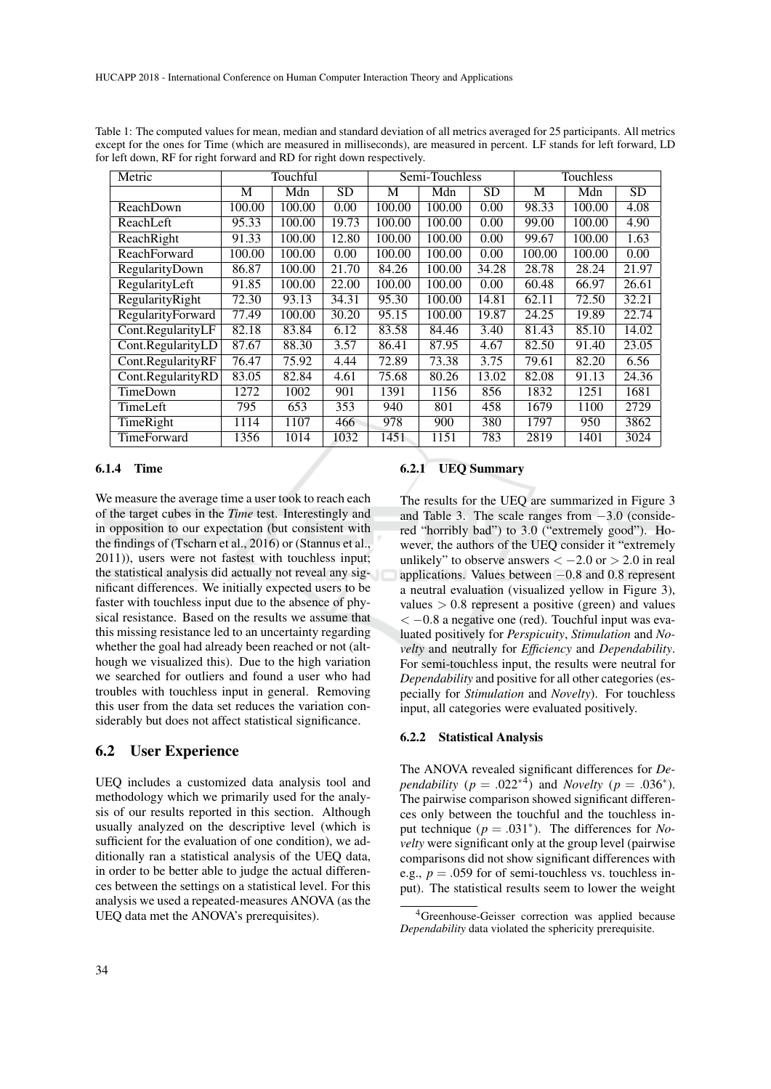| Metric            |        | Touchful |                    | Semi-Touchless |        |       | Touchless |        |           |
|-------------------|--------|----------|--------------------|----------------|--------|-------|-----------|--------|-----------|
|                   | M      | Mdn      | <b>SD</b>          | M              | Mdn    | SD    | M         | Mdn    | <b>SD</b> |
| ReachDown         | 100.00 | 100.00   | 0.00               | 100.00         | 100.00 | 0.00  | 98.33     | 100.00 | 4.08      |
| ReachLeft         | 95.33  | 100.00   | 19.73              | 100.00         | 100.00 | 0.00  | 99.00     | 100.00 | 4.90      |
| ReachRight        | 91.33  | 100.00   | 12.80              | 100.00         | 100.00 | 0.00  | 99.67     | 100.00 | 1.63      |
| ReachForward      | 100.00 | 100.00   | 0.00               | 100.00         | 100.00 | 0.00  | 100.00    | 100.00 | 0.00      |
| RegularityDown    | 86.87  | 100.00   | 21.70              | 84.26          | 100.00 | 34.28 | 28.78     | 28.24  | 21.97     |
| RegularityLeft    | 91.85  | 100.00   | $\overline{2}2.00$ | 100.00         | 100.00 | 0.00  | 60.48     | 66.97  | 26.61     |
| RegularityRight   | 72.30  | 93.13    | 34.31              | 95.30          | 100.00 | 14.81 | 62.11     | 72.50  | 32.21     |
| RegularityForward | 77.49  | 100.00   | 30.20              | 95.15          | 100.00 | 19.87 | 24.25     | 19.89  | 22.74     |
| Cont.RegularityLF | 82.18  | 83.84    | 6.12               | 83.58          | 84.46  | 3.40  | 81.43     | 85.10  | 14.02     |
| Cont.RegularityLD | 87.67  | 88.30    | 3.57               | 86.41          | 87.95  | 4.67  | 82.50     | 91.40  | 23.05     |
| Cont.RegularityRF | 76.47  | 75.92    | 4.44               | 72.89          | 73.38  | 3.75  | 79.61     | 82.20  | 6.56      |
| Cont.RegularityRD | 83.05  | 82.84    | 4.61               | 75.68          | 80.26  | 13.02 | 82.08     | 91.13  | 24.36     |
| TimeDown          | 1272   | 1002     | 901                | 1391           | 1156   | 856   | 1832      | 1251   | 1681      |
| TimeLeft          | 795    | 653      | 353                | 940            | 801    | 458   | 1679      | 1100   | 2729      |
| TimeRight         | 1114   | 1107     | 466                | 978            | 900    | 380   | 1797      | 950    | 3862      |
| TimeForward       | 1356   | 1014     | 1032               | 1451           | 1151   | 783   | 2819      | 1401   | 3024      |

Table 1: The computed values for mean, median and standard deviation of all metrics averaged for 25 participants. All metrics except for the ones for Time (which are measured in milliseconds), are measured in percent. LF stands for left forward, LD for left down, RF for right forward and RD for right down respectively.

#### 6.1.4 Time

We measure the average time a user took to reach each of the target cubes in the *Time* test. Interestingly and in opposition to our expectation (but consistent with the findings of (Tscharn et al., 2016) or (Stannus et al., 2011)), users were not fastest with touchless input; the statistical analysis did actually not reveal any significant differences. We initially expected users to be faster with touchless input due to the absence of physical resistance. Based on the results we assume that this missing resistance led to an uncertainty regarding whether the goal had already been reached or not (although we visualized this). Due to the high variation we searched for outliers and found a user who had troubles with touchless input in general. Removing this user from the data set reduces the variation considerably but does not affect statistical significance.

## 6.2 User Experience

UEQ includes a customized data analysis tool and methodology which we primarily used for the analysis of our results reported in this section. Although usually analyzed on the descriptive level (which is sufficient for the evaluation of one condition), we additionally ran a statistical analysis of the UEQ data, in order to be better able to judge the actual differences between the settings on a statistical level. For this analysis we used a repeated-measures ANOVA (as the UEQ data met the ANOVA's prerequisites).

#### 6.2.1 UEQ Summary

The results for the UEQ are summarized in Figure 3 and Table 3. The scale ranges from −3.0 (considered "horribly bad") to 3.0 ("extremely good"). However, the authors of the UEQ consider it "extremely unlikely" to observe answers  $<-2.0$  or  $>2.0$  in real applications. Values between −0.8 and 0.8 represent a neutral evaluation (visualized yellow in Figure 3), values  $> 0.8$  represent a positive (green) and values  $<-0.8$  a negative one (red). Touchful input was evaluated positively for *Perspicuity*, *Stimulation* and *Novelty* and neutrally for *Efficiency* and *Dependability*. For semi-touchless input, the results were neutral for *Dependability* and positive for all other categories (especially for *Stimulation* and *Novelty*). For touchless input, all categories were evaluated positively.

#### 6.2.2 Statistical Analysis

The ANOVA revealed significant differences for *Dependability* (*p* = .022<sup>\*4</sup>) and *Novelty* (*p* = .036<sup>\*</sup>). The pairwise comparison showed significant differences only between the touchful and the touchless input technique ( $p = .031^*$ ). The differences for *Novelty* were significant only at the group level (pairwise comparisons did not show significant differences with e.g.,  $p = .059$  for of semi-touchless vs. touchless input). The statistical results seem to lower the weight

<sup>4</sup>Greenhouse-Geisser correction was applied because *Dependability* data violated the sphericity prerequisite.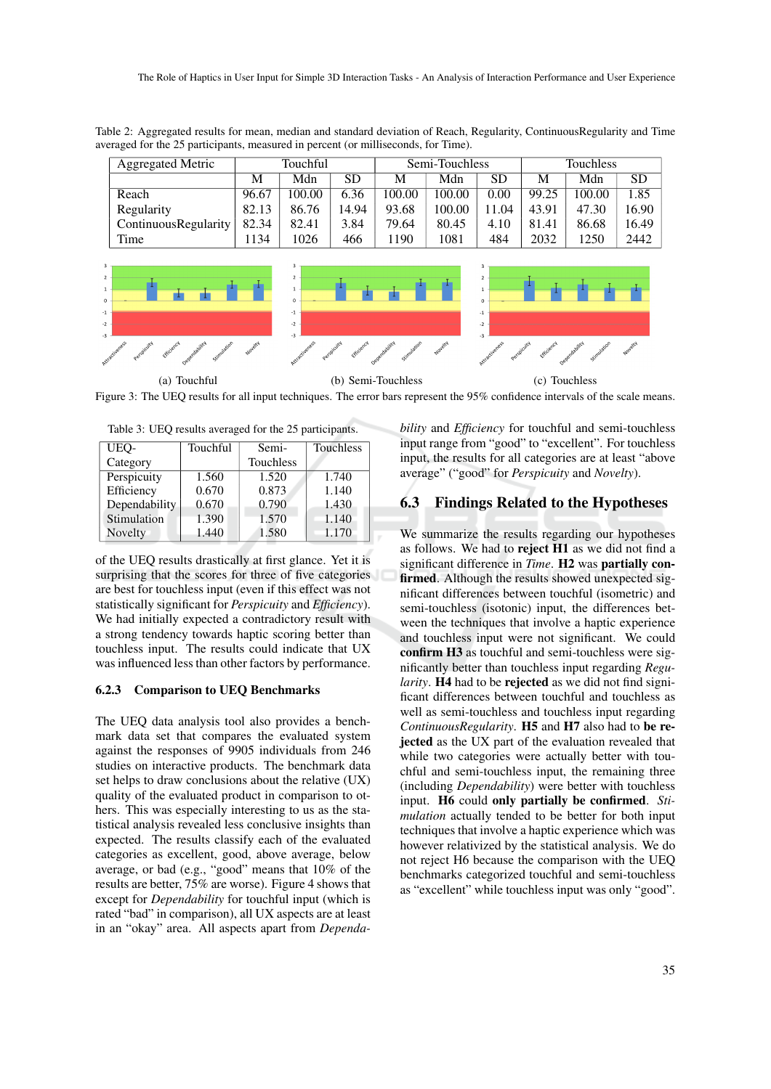| Aggregated Metric                                                                                                                                     | Touchful |                                                                                      | Semi-Touchless           |        |         | Touchless                                                               |            |                              |           |
|-------------------------------------------------------------------------------------------------------------------------------------------------------|----------|--------------------------------------------------------------------------------------|--------------------------|--------|---------|-------------------------------------------------------------------------|------------|------------------------------|-----------|
|                                                                                                                                                       | М        | Mdn                                                                                  | <b>SD</b>                | М      | Mdn     | <b>SD</b>                                                               | М          | Mdn                          | <b>SD</b> |
| Reach                                                                                                                                                 | 96.67    | 100.00                                                                               | 6.36                     | 100.00 | 100.00  | 0.00                                                                    | 99.25      | 100.00                       | 1.85      |
| Regularity                                                                                                                                            | 82.13    | 86.76                                                                                | 14.94                    | 93.68  | 100.00  | 11.04                                                                   | 43.91      | 47.30                        | 16.90     |
| ContinuousRegularity                                                                                                                                  | 82.34    | 82.41                                                                                | 3.84                     | 79.64  | 80.45   | 4.10                                                                    | 81.41      | 86.68                        | 16.49     |
| Time                                                                                                                                                  | 1134     | 1026                                                                                 | 466                      | 1190   | 1081    | 484                                                                     | 2032       | 1250                         | 2442      |
| 3<br>$\overline{2}$<br>$\mathbf{1}$<br>$\circ$<br>$-1$<br>$-2$<br>$-3$<br>Artractiveness<br>Perspicuiry<br>Dependability<br>Stimulation<br>Efficiency | Novelty  | $\overline{2}$<br>$\mathbf{1}$<br>$\Omega$<br>$-1$<br>$-2$<br>$-3$<br>Artractiveness | Perspicuiry<br>Etholency |        | Novelty | $\overline{2}$<br>$-1$<br>$-2$<br>$-3$<br>Artractiveness<br>perspicuiry | Efficiency | Dependability<br>Stimulation | Noveloy   |
| (a) Touchful                                                                                                                                          |          | (b) Semi-Touchless                                                                   |                          |        |         | (c) Touchless                                                           |            |                              |           |

Table 2: Aggregated results for mean, median and standard deviation of Reach, Regularity, ContinuousRegularity and Time averaged for the 25 participants, measured in percent (or milliseconds, for Time).

Figure 3: The UEQ results for all input techniques. The error bars represent the 95% confidence intervals of the scale means.

| UEO-          | Touchful | Semi-     | Touchless |  |  |  |  |
|---------------|----------|-----------|-----------|--|--|--|--|
| Category      |          | Touchless |           |  |  |  |  |
| Perspicuity   | 1.560    | 1.520     | 1.740     |  |  |  |  |
| Efficiency    | 0.670    | 0.873     | 1.140     |  |  |  |  |
| Dependability | 0.670    | 0.790     | 1.430     |  |  |  |  |
| Stimulation   | 1.390    | 1.570     | 1.140     |  |  |  |  |
| Novelty       | 1.440    | 1.580     | 1.170     |  |  |  |  |

Table 3: UEQ results averaged for the 25 participants.

of the UEQ results drastically at first glance. Yet it is surprising that the scores for three of five categories are best for touchless input (even if this effect was not statistically significant for *Perspicuity* and *Efficiency*). We had initially expected a contradictory result with a strong tendency towards haptic scoring better than touchless input. The results could indicate that UX was influenced less than other factors by performance.

### 6.2.3 Comparison to UEQ Benchmarks

The UEQ data analysis tool also provides a benchmark data set that compares the evaluated system against the responses of 9905 individuals from 246 studies on interactive products. The benchmark data set helps to draw conclusions about the relative (UX) quality of the evaluated product in comparison to others. This was especially interesting to us as the statistical analysis revealed less conclusive insights than expected. The results classify each of the evaluated categories as excellent, good, above average, below average, or bad (e.g., "good" means that 10% of the results are better, 75% are worse). Figure 4 shows that except for *Dependability* for touchful input (which is rated "bad" in comparison), all UX aspects are at least in an "okay" area. All aspects apart from *Dependa-* *bility* and *Efficiency* for touchful and semi-touchless input range from "good" to "excellent". For touchless input, the results for all categories are at least "above average" ("good" for *Perspicuity* and *Novelty*).

# 6.3 Findings Related to the Hypotheses

We summarize the results regarding our hypotheses as follows. We had to reject H1 as we did not find a significant difference in *Time*. H2 was partially confirmed. Although the results showed unexpected significant differences between touchful (isometric) and semi-touchless (isotonic) input, the differences between the techniques that involve a haptic experience and touchless input were not significant. We could confirm H3 as touchful and semi-touchless were significantly better than touchless input regarding *Regularity*. H4 had to be rejected as we did not find significant differences between touchful and touchless as well as semi-touchless and touchless input regarding *ContinuousRegularity*. H5 and H7 also had to be rejected as the UX part of the evaluation revealed that while two categories were actually better with touchful and semi-touchless input, the remaining three (including *Dependability*) were better with touchless input. H6 could only partially be confirmed. *Stimulation* actually tended to be better for both input techniques that involve a haptic experience which was however relativized by the statistical analysis. We do not reject H6 because the comparison with the UEQ benchmarks categorized touchful and semi-touchless as "excellent" while touchless input was only "good".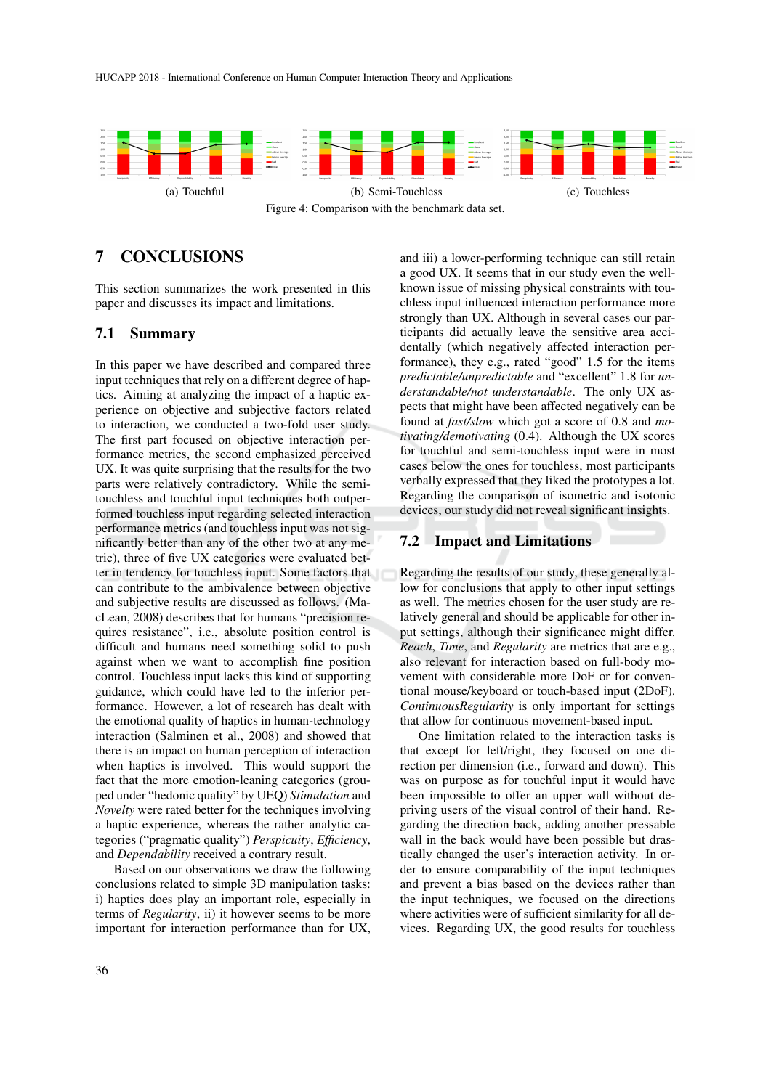

# 7 CONCLUSIONS

This section summarizes the work presented in this paper and discusses its impact and limitations.

## 7.1 Summary

In this paper we have described and compared three input techniques that rely on a different degree of haptics. Aiming at analyzing the impact of a haptic experience on objective and subjective factors related to interaction, we conducted a two-fold user study. The first part focused on objective interaction performance metrics, the second emphasized perceived UX. It was quite surprising that the results for the two parts were relatively contradictory. While the semitouchless and touchful input techniques both outperformed touchless input regarding selected interaction performance metrics (and touchless input was not significantly better than any of the other two at any metric), three of five UX categories were evaluated better in tendency for touchless input. Some factors that can contribute to the ambivalence between objective and subjective results are discussed as follows. (MacLean, 2008) describes that for humans "precision requires resistance", i.e., absolute position control is difficult and humans need something solid to push against when we want to accomplish fine position control. Touchless input lacks this kind of supporting guidance, which could have led to the inferior performance. However, a lot of research has dealt with the emotional quality of haptics in human-technology interaction (Salminen et al., 2008) and showed that there is an impact on human perception of interaction when haptics is involved. This would support the fact that the more emotion-leaning categories (grouped under "hedonic quality" by UEQ) *Stimulation* and *Novelty* were rated better for the techniques involving a haptic experience, whereas the rather analytic categories ("pragmatic quality") *Perspicuity*, *Efficiency*, and *Dependability* received a contrary result.

Based on our observations we draw the following conclusions related to simple 3D manipulation tasks: i) haptics does play an important role, especially in terms of *Regularity*, ii) it however seems to be more important for interaction performance than for UX,

and iii) a lower-performing technique can still retain a good UX. It seems that in our study even the wellknown issue of missing physical constraints with touchless input influenced interaction performance more strongly than UX. Although in several cases our participants did actually leave the sensitive area accidentally (which negatively affected interaction performance), they e.g., rated "good" 1.5 for the items *predictable/unpredictable* and "excellent" 1.8 for *understandable/not understandable*. The only UX aspects that might have been affected negatively can be found at *fast/slow* which got a score of 0.8 and *motivating/demotivating* (0.4). Although the UX scores for touchful and semi-touchless input were in most cases below the ones for touchless, most participants verbally expressed that they liked the prototypes a lot. Regarding the comparison of isometric and isotonic devices, our study did not reveal significant insights.

### 7.2 Impact and Limitations

Regarding the results of our study, these generally allow for conclusions that apply to other input settings as well. The metrics chosen for the user study are relatively general and should be applicable for other input settings, although their significance might differ. *Reach*, *Time*, and *Regularity* are metrics that are e.g., also relevant for interaction based on full-body movement with considerable more DoF or for conventional mouse/keyboard or touch-based input (2DoF). *ContinuousRegularity* is only important for settings that allow for continuous movement-based input.

One limitation related to the interaction tasks is that except for left/right, they focused on one direction per dimension (i.e., forward and down). This was on purpose as for touchful input it would have been impossible to offer an upper wall without depriving users of the visual control of their hand. Regarding the direction back, adding another pressable wall in the back would have been possible but drastically changed the user's interaction activity. In order to ensure comparability of the input techniques and prevent a bias based on the devices rather than the input techniques, we focused on the directions where activities were of sufficient similarity for all devices. Regarding UX, the good results for touchless